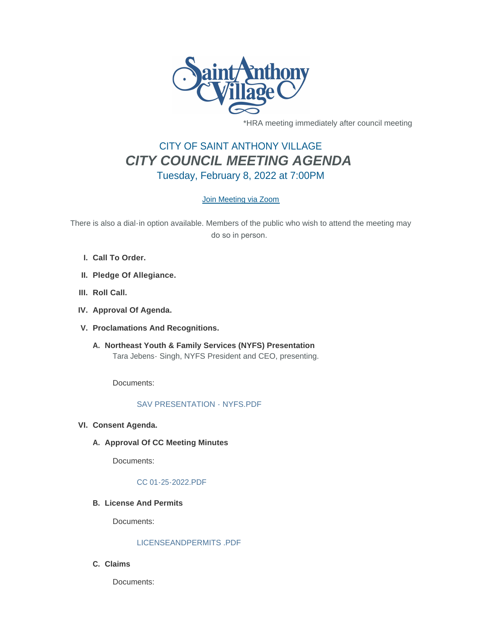

\*HRA meeting immediately after council meeting

# CITY OF SAINT ANTHONY VILLAGE *CITY COUNCIL MEETING AGENDA* Tuesday, February 8, 2022 at 7:00PM

# [Join Meeting via Zoom](https://www.savmn.com/Calendar.aspx?EID=1566)

There is also a dial-in option available. Members of the public who wish to attend the meeting may do so in person.

- **Call To Order. I.**
- **Pledge Of Allegiance. II.**
- III. Roll Call.
- **Approval Of Agenda. IV.**
- **Proclamations And Recognitions. V.**
	- **Northeast Youth & Family Services (NYFS) Presentation A.** Tara Jebens- Singh, NYFS President and CEO, presenting.

Documents:

# [SAV PRESENTATION - NYFS.PDF](http://www.savmn.com/AgendaCenter/ViewFile/Item/634?fileID=6548)

- **Consent Agenda. VI.**
	- A. Approval Of CC Meeting Minutes

Documents:

### [CC 01-25-2022.PDF](http://www.savmn.com/AgendaCenter/ViewFile/Item/639?fileID=6552)

**License And Permits B.**

Documents:

## [LICENSEANDPERMITS .PDF](http://www.savmn.com/AgendaCenter/ViewFile/Item/637?fileID=6550)

**Claims C.**

Documents: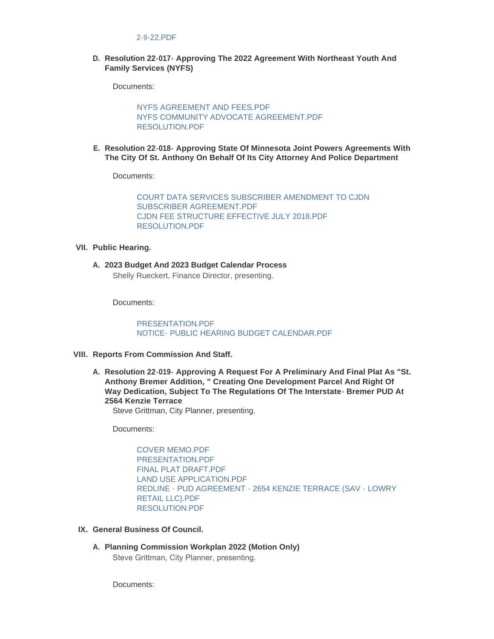#### [2-9-22.PDF](http://www.savmn.com/AgendaCenter/ViewFile/Item/640?fileID=6580)

#### **Resolution 22-017- Approving The 2022 Agreement With Northeast Youth And D. Family Services (NYFS)**

Documents:

[NYFS AGREEMENT AND FEES.PDF](http://www.savmn.com/AgendaCenter/ViewFile/Item/633?fileID=6546) [NYFS COMMUNITY ADVOCATE AGREEMENT.PDF](http://www.savmn.com/AgendaCenter/ViewFile/Item/633?fileID=6547) [RESOLUTION.PDF](http://www.savmn.com/AgendaCenter/ViewFile/Item/633?fileID=6565)

**Resolution 22-018- Approving State Of Minnesota Joint Powers Agreements With E. The City Of St. Anthony On Behalf Of Its City Attorney And Police Department**

Documents:

[COURT DATA SERVICES SUBSCRIBER AMENDMENT TO CJDN](http://www.savmn.com/AgendaCenter/ViewFile/Item/635?fileID=6558)  SUBSCRIBER AGREEMENT.PDF [CJDN FEE STRUCTURE EFFECTIVE JULY 2018.PDF](http://www.savmn.com/AgendaCenter/ViewFile/Item/635?fileID=6557) [RESOLUTION.PDF](http://www.savmn.com/AgendaCenter/ViewFile/Item/635?fileID=6566)

#### **Public Hearing. VII.**

**2023 Budget And 2023 Budget Calendar Process A.** Shelly Rueckert, Finance Director, presenting.

Documents:

[PRESENTATION.PDF](http://www.savmn.com/AgendaCenter/ViewFile/Item/641?fileID=6569) [NOTICE- PUBLIC HEARING BUDGET CALENDAR.PDF](http://www.savmn.com/AgendaCenter/ViewFile/Item/641?fileID=6570)

- **Reports From Commission And Staff. VIII.**
	- **Resolution 22-019- Approving A Request For A Preliminary And Final Plat As "St. A. Anthony Bremer Addition, " Creating One Development Parcel And Right Of Way Dedication, Subject To The Regulations Of The Interstate- Bremer PUD At 2564 Kenzie Terrace**

Steve Grittman, City Planner, presenting.

Documents:

[COVER MEMO.PDF](http://www.savmn.com/AgendaCenter/ViewFile/Item/642?fileID=6567) [PRESENTATION.PDF](http://www.savmn.com/AgendaCenter/ViewFile/Item/642?fileID=6584) FINAL PLAT DRAFT PDF [LAND USE APPLICATION.PDF](http://www.savmn.com/AgendaCenter/ViewFile/Item/642?fileID=6553) [REDLINE - PUD AGREEMENT - 2654 KENZIE TERRACE \(SAV - LOWRY](http://www.savmn.com/AgendaCenter/ViewFile/Item/642?fileID=6555)  RETAIL LLC).PDF [RESOLUTION.PDF](http://www.savmn.com/AgendaCenter/ViewFile/Item/642?fileID=6581)

- **General Business Of Council. IX.**
	- **Planning Commission Workplan 2022 (Motion Only) A.** Steve Grittman, City Planner, presenting.

Documents: